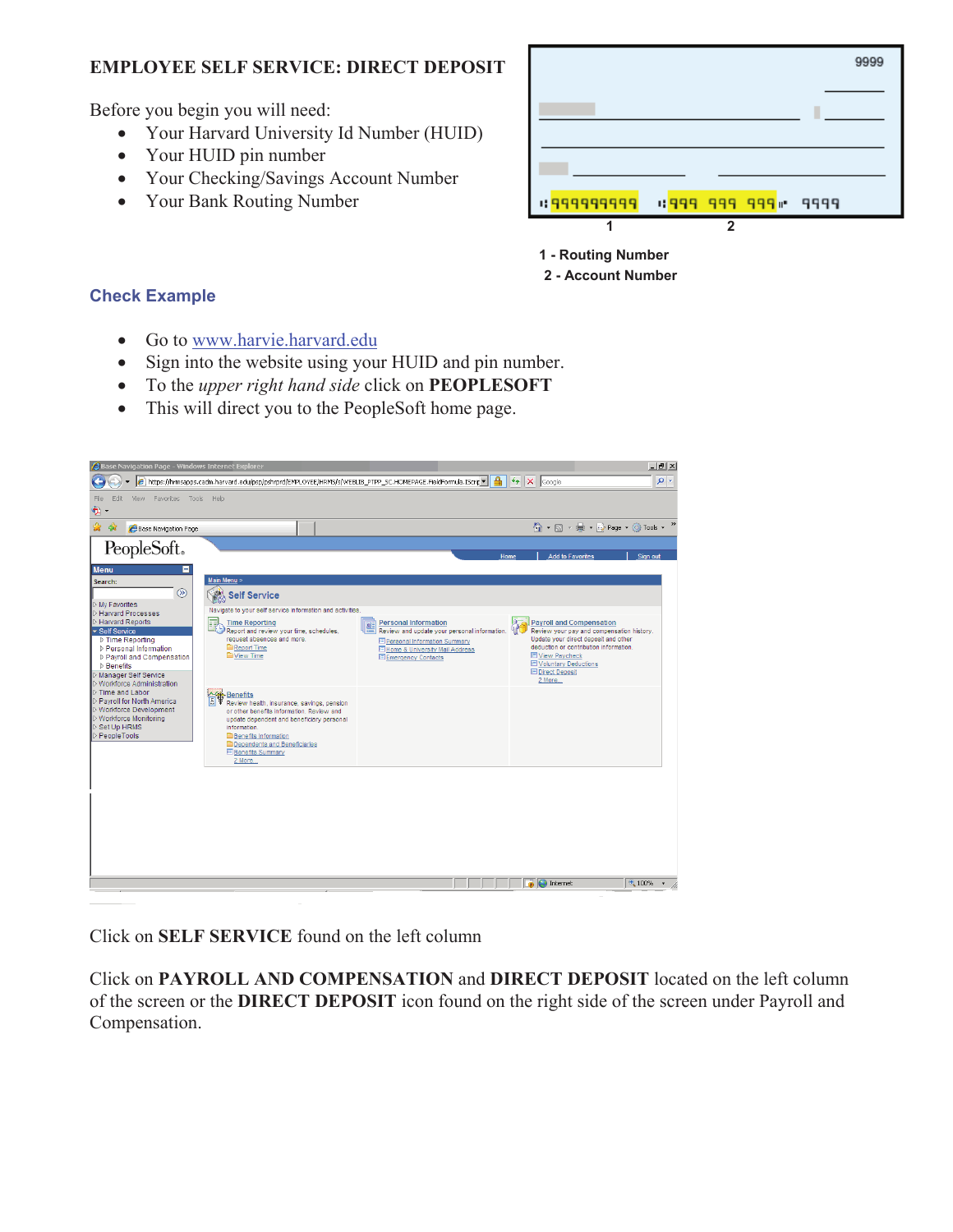## **EMPLOYEE SELF SERVICE: DIRECT DEPOSIT**

Before you begin you will need:

- Your Harvard University Id Number (HUID)
- Your HUID pin number
- Your Checking/Savings Account Number
- Your Bank Routing Number

|             |                |                   | 9999 |
|-------------|----------------|-------------------|------|
|             |                |                   |      |
|             |                |                   |      |
|             |                |                   |      |
|             |                |                   |      |
| 1 999999999 |                | 1999 999 999 9999 |      |
| 1           | $\overline{2}$ |                   |      |

- **1 Routing Number**
- **2 Account Number**

## **Check Example**

- Go to www.harvie.harvard.edu
- Sign into the website using your HUID and pin number.
- x To the *upper right hand side* click on **PEOPLESOFT**
- This will direct you to the PeopleSoft home page.



Click on **SELF SERVICE** found on the left column

Click on **PAYROLL AND COMPENSATION** and **DIRECT DEPOSIT** located on the left column of the screen or the **DIRECT DEPOSIT** icon found on the right side of the screen under Payroll and Compensation.